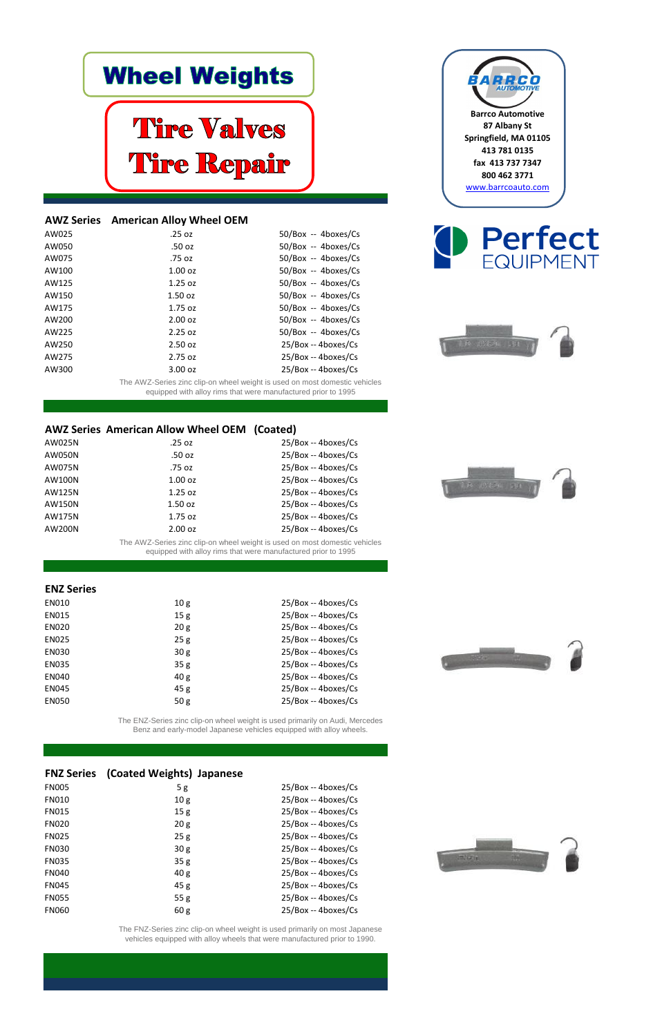## **Wheel Weights**

# **Tire Valves** Tire Repair

**Barrco Automotive 87 Albany St Springfield, MA 01105 413 781 0135 fax 413 737 7347 800 462 3771** [www.barrcoauto.com](http://www.barrcoauto.com/)









| AW025 | .25 oz    | 50/Box -- 4boxes/Cs  |
|-------|-----------|----------------------|
| AW050 | .50 oz    | $50/Box - 4boxes/Cs$ |
| AW075 | .75 oz    | $50/Box - 4boxes/Cs$ |
| AW100 | $1.00$ oz | $50/Box - 4boxes/Cs$ |
| AW125 | $1.25$ oz | 50/Box -- 4boxes/Cs  |
| AW150 | $1.50$ oz | $50/Box - 4boxes/Cs$ |
| AW175 | $1.75$ oz | $50/Box - 4boxes/Cs$ |
| AW200 | 2.00 oz   | $50/Box - 4boxes/Cs$ |
| AW225 | 2.25 oz   | $50/Box - 4boxes/Cs$ |
| AW250 | 2.50 oz   | 25/Box -- 4boxes/Cs  |
| AW275 | $2.75$ oz | 25/Box -- 4boxes/Cs  |
| AW300 | 3.00 oz   | 25/Box -- 4boxes/Cs  |
|       |           |                      |

| AW025N | .25 oz    | $25/Box - 4boxes/Cs$ |
|--------|-----------|----------------------|
| AW050N | .50 oz    | 25/Box -- 4boxes/Cs  |
| AW075N | .75 oz    | 25/Box -- 4boxes/Cs  |
| AW100N | $1.00$ oz | 25/Box -- 4boxes/Cs  |
| AW125N | $1.25$ oz | 25/Box -- 4boxes/Cs  |
| AW150N | $1.50$ oz | 25/Box -- 4boxes/Cs  |
| AW175N | $1.75$ oz | 25/Box -- 4boxes/Cs  |
| AW200N | 2.00 oz   | 25/Box -- 4boxes/Cs  |

| <b>EN010</b> | 10 <sub>g</sub> | 25/Box -- 4boxes/Cs |
|--------------|-----------------|---------------------|
| <b>EN015</b> | 15 <sub>g</sub> | 25/Box -- 4boxes/Cs |
| <b>EN020</b> | 20 <sub>g</sub> | 25/Box -- 4boxes/Cs |
| <b>EN025</b> | 25g             | 25/Box -- 4boxes/Cs |
| <b>EN030</b> | 30g             | 25/Box -- 4boxes/Cs |
| <b>EN035</b> | 35g             | 25/Box -- 4boxes/Cs |
| <b>EN040</b> | 40 <sub>g</sub> | 25/Box -- 4boxes/Cs |
| <b>EN045</b> | 45g             | 25/Box -- 4boxes/Cs |
| <b>EN050</b> | 50 <sub>g</sub> | 25/Box -- 4boxes/Cs |

| 5g              | 25/Box -- 4boxes/Cs |
|-----------------|---------------------|
| 10 <sub>g</sub> | 25/Box -- 4boxes/Cs |
| 15g             | 25/Box -- 4boxes/Cs |
| 20 <sub>g</sub> | 25/Box -- 4boxes/Cs |
| 25g             | 25/Box -- 4boxes/Cs |
| 30 <sub>g</sub> | 25/Box -- 4boxes/Cs |
| 35 <sub>g</sub> | 25/Box -- 4boxes/Cs |
| 40 <sub>g</sub> | 25/Box -- 4boxes/Cs |
| 45g             | 25/Box -- 4boxes/Cs |
| 55 <sub>g</sub> | 25/Box -- 4boxes/Cs |
| 60 <sub>g</sub> | 25/Box -- 4boxes/Cs |
|                 |                     |

#### **FNZ Series (Coated Weights) Japanese**

The FNZ-Series zinc clip-on wheel weight is used primarily on most Japanese vehicles equipped with alloy wheels that were manufactured prior to 1990.



#### **AWZ Series American Alloy Wheel OEM**

#### **AWZ Series American Allow Wheel OEM (Coated)**

#### **ENZ Series**

The ENZ-Series zinc clip-on wheel weight is used primarily on Audi, Mercedes Benz and early-model Japanese vehicles equipped with alloy wheels.

The AWZ-Series zinc clip-on wheel weight is used on most domestic vehicles equipped with alloy rims that were manufactured prior to 1995

The AWZ-Series zinc clip-on wheel weight is used on most domestic vehicles equipped with alloy rims that were manufactured prior to 1995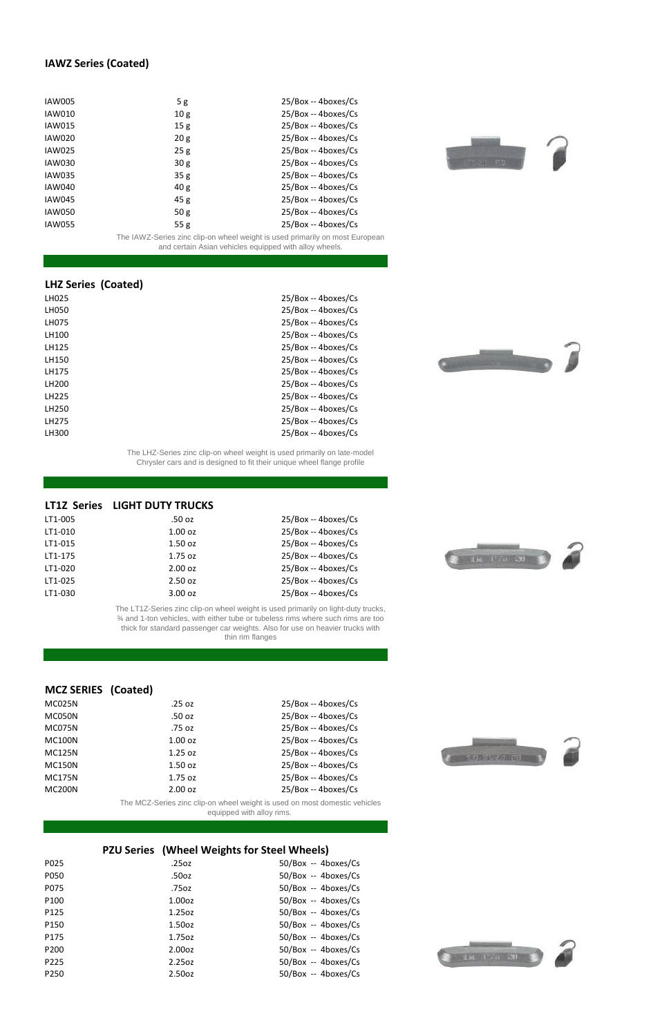| <b>IAW005</b> | 5g              | 25/Box -- 4boxes/Cs |
|---------------|-----------------|---------------------|
| <b>IAW010</b> | 10 <sub>g</sub> | 25/Box -- 4boxes/Cs |
| <b>IAW015</b> | 15g             | 25/Box -- 4boxes/Cs |
| <b>IAW020</b> | 20 <sub>g</sub> | 25/Box -- 4boxes/Cs |
| <b>IAW025</b> | 25g             | 25/Box -- 4boxes/Cs |
| <b>IAW030</b> | 30 <sub>g</sub> | 25/Box -- 4boxes/Cs |
| <b>IAW035</b> | 35g             | 25/Box -- 4boxes/Cs |
| <b>IAW040</b> | 40 <sub>g</sub> | 25/Box -- 4boxes/Cs |
| <b>IAW045</b> | 45g             | 25/Box -- 4boxes/Cs |
| <b>IAW050</b> | 50 <sub>g</sub> | 25/Box -- 4boxes/Cs |
| <b>IAW055</b> | 55g             | 25/Box -- 4boxes/Cs |

| LH025        | 25/Box -- 4boxes/Cs |
|--------------|---------------------|
| <b>LH050</b> | 25/Box -- 4boxes/Cs |
| LH075        | 25/Box -- 4boxes/Cs |
| LH100        | 25/Box -- 4boxes/Cs |
| LH125        | 25/Box -- 4boxes/Cs |
| LH150        | 25/Box -- 4boxes/Cs |
| LH175        | 25/Box -- 4boxes/Cs |
| LH200        | 25/Box -- 4boxes/Cs |
| LH225        | 25/Box -- 4boxes/Cs |
| LH250        | 25/Box -- 4boxes/Cs |
| LH275        | 25/Box -- 4boxes/Cs |
| LH300        | 25/Box -- 4boxes/Cs |
|              |                     |

| LT1-005 | .50 oz    | 25/Box -- 4boxes/Cs |
|---------|-----------|---------------------|
| LT1-010 | $1.00$ oz | 25/Box -- 4boxes/Cs |
| LT1-015 | $1.50$ oz | 25/Box -- 4boxes/Cs |
| LT1-175 | $1.75$ oz | 25/Box -- 4boxes/Cs |
| LT1-020 | 2.00 oz   | 25/Box -- 4boxes/Cs |
| LT1-025 | 2.50 oz   | 25/Box -- 4boxes/Cs |
| LT1-030 | 3.00 oz   | 25/Box -- 4boxes/Cs |

| MC025N        | .25 oz    | 25/Box -- 4boxes/Cs |
|---------------|-----------|---------------------|
| MC050N        | .50 oz    | 25/Box -- 4boxes/Cs |
| MC075N        | .75 oz    | 25/Box -- 4boxes/Cs |
| <b>MC100N</b> | $1.00$ oz | 25/Box -- 4boxes/Cs |
| <b>MC125N</b> | $1.25$ oz | 25/Box -- 4boxes/Cs |
|               |           |                     |









| MC150N | $1.50$ oz         | 25/Box -- 4boxes/Cs |
|--------|-------------------|---------------------|
| MC175N | $1.75 \text{ oz}$ | 25/Box -- 4boxes/Cs |
| MC200N | $2.00 \text{ oz}$ | 25/Box -- 4boxes/Cs |



| P025             | .25oz              | 50/Box -- 4boxes/Cs  |
|------------------|--------------------|----------------------|
| P050             | .50oz              | 50/Box -- 4boxes/Cs  |
| P075             | .75oz              | 50/Box -- 4boxes/Cs  |
| P <sub>100</sub> | 1.00 <sub>oz</sub> | 50/Box -- 4boxes/Cs  |
| P125             | 1.25oz             | 50/Box -- 4boxes/Cs  |
| P150             | 1.50 <sub>oz</sub> | $50/Box - 4boxes/Cs$ |
| P175             | 1.75oz             | 50/Box -- 4boxes/Cs  |
| P200             | 2.00 <sub>oz</sub> | 50/Box -- 4boxes/Cs  |
| P225             | 2.25oz             | 50/Box -- 4boxes/Cs  |
| P <sub>250</sub> | 2.50oz             | 50/Box -- 4boxes/Cs  |



#### **IAWZ Series (Coated)**

The IAWZ-Series zinc clip-on wheel weight is used primarily on most European and certain Asian vehicles equipped with alloy wheels.

#### **LHZ Series (Coated)**

The LHZ-Series zinc clip-on wheel weight is used primarily on late-model Chrysler cars and is designed to fit their unique wheel flange profile

#### **LT1Z Series LIGHT DUTY TRUCKS**

The LT1Z-Series zinc clip-on wheel weight is used primarily on light-duty trucks, ¾ and 1-ton vehicles, with either tube or tubeless rims where such rims are too thick for standard passenger car weights. Also for use on heavier trucks with thin rim flanges

#### **MCZ SERIES (Coated)**

The MCZ-Series zinc clip-on wheel weight is used on most domestic vehicles equipped with alloy rims.

#### **PZU Series (Wheel Weights for Steel Wheels)**